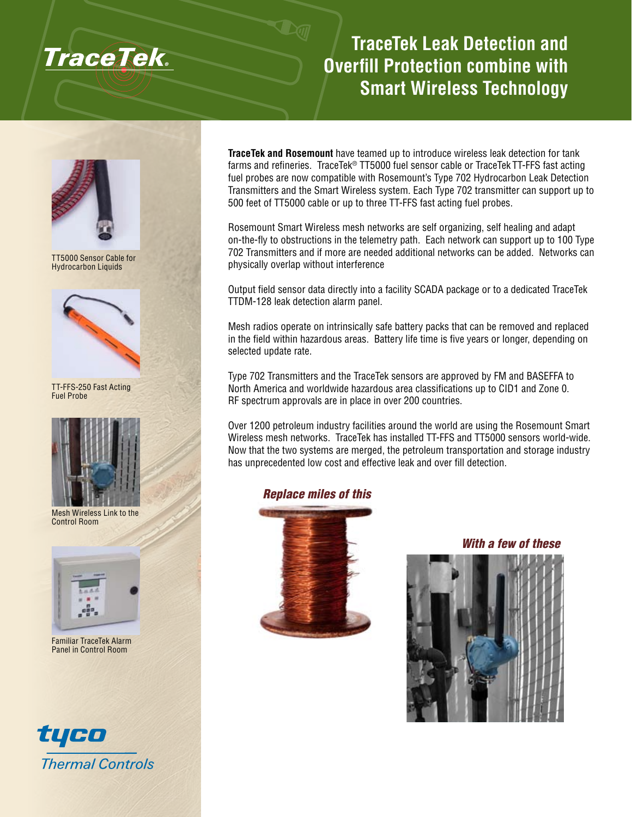

# **TraceTek Leak Detection and Overfill Protection combine with Smart Wireless Technology**



TT5000 Sensor Cable for Hydrocarbon Liquids



TT-FFS-250 Fast Acting Fuel Probe



Mesh Wireless Link to the Control Room



Familiar TraceTek Alarm Panel in Control Room



**TraceTek and Rosemount** have teamed up to introduce wireless leak detection for tank farms and refineries. TraceTek<sup>®</sup> TT5000 fuel sensor cable or TraceTek TT-FFS fast acting fuel probes are now compatible with Rosemount's Type 702 Hydrocarbon Leak Detection Transmitters and the Smart Wireless system. Each Type 702 transmitter can support up to 500 feet of TT5000 cable or up to three TT-FFS fast acting fuel probes.

Rosemount Smart Wireless mesh networks are self organizing, self healing and adapt on-the-fly to obstructions in the telemetry path. Each network can support up to 100 Type 702 Transmitters and if more are needed additional networks can be added. Networks can physically overlap without interference

Output field sensor data directly into a facility SCADA package or to a dedicated TraceTek TTDM-128 leak detection alarm panel.

Mesh radios operate on intrinsically safe battery packs that can be removed and replaced in the field within hazardous areas. Battery life time is five years or longer, depending on selected update rate.

Type 702 Transmitters and the TraceTek sensors are approved by FM and BASEFFA to North America and worldwide hazardous area classifications up to CID1 and Zone 0. RF spectrum approvals are in place in over 200 countries.

Over 1200 petroleum industry facilities around the world are using the Rosemount Smart Wireless mesh networks. TraceTek has installed TT-FFS and TT5000 sensors world-wide. Now that the two systems are merged, the petroleum transportation and storage industry has unprecedented low cost and effective leak and over fill detection.

# *Replace miles of this*



*With a few of these*